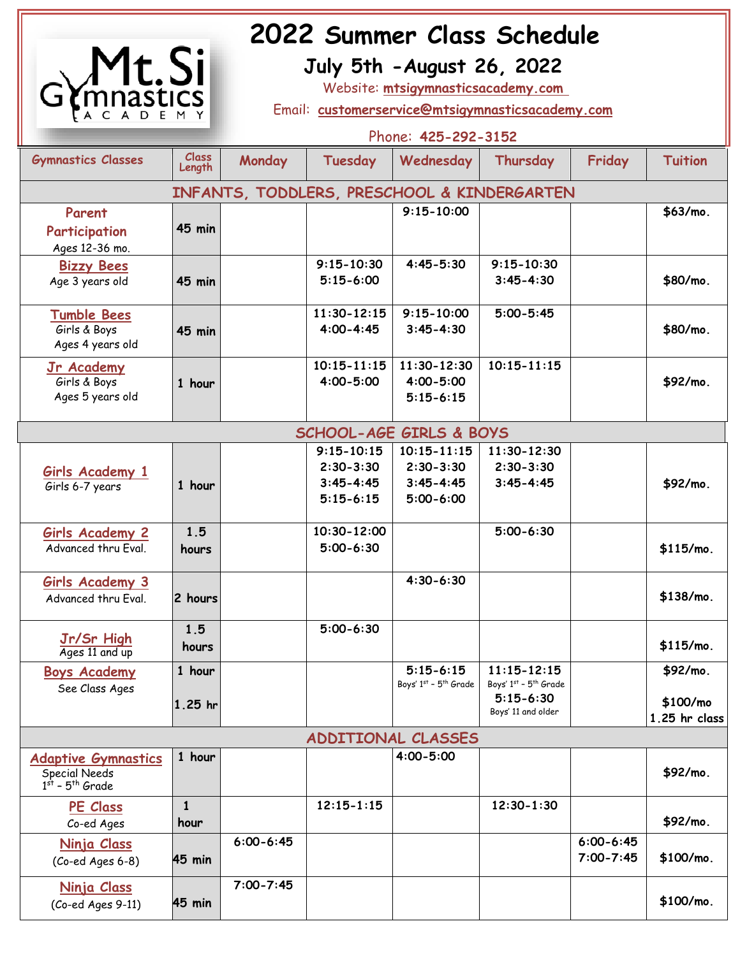

# **2022 Summer Class Schedule**<br> **12022 July 5th - August 26, 2022**

 **July 5th -August 26, 2022**

Website: **mtsigymnasticsacademy.com** 

Email: **[customerservice@mtsigymnasticsacademy.com](mailto:customerservice@mtsigymnasticsacademy.com)**

|                                                                           |                     | Phone: 425-292-3152 |                                                                   |                                                                    |                                                                                 |                                |                                       |
|---------------------------------------------------------------------------|---------------------|---------------------|-------------------------------------------------------------------|--------------------------------------------------------------------|---------------------------------------------------------------------------------|--------------------------------|---------------------------------------|
| <b>Gymnastics Classes</b>                                                 | Class<br>Length     | Monday              | Tuesday                                                           | Wednesday                                                          | Thursday                                                                        | Friday                         | <b>Tuition</b>                        |
| INFANTS, TODDLERS, PRESCHOOL & KINDERGARTEN                               |                     |                     |                                                                   |                                                                    |                                                                                 |                                |                                       |
| Parent<br>Participation<br>Ages 12-36 mo.                                 | <b>45 min</b>       |                     |                                                                   | $9:15 - 10:00$                                                     |                                                                                 |                                | \$63/mo.                              |
| <b>Bizzy Bees</b><br>Age 3 years old                                      | <b>45 min</b>       |                     | $9:15 - 10:30$<br>$5:15-6:00$                                     | $4:45 - 5:30$                                                      | $9:15 - 10:30$<br>$3:45 - 4:30$                                                 |                                | \$80/mo.                              |
| <b>Tumble Bees</b><br>Girls & Boys<br>Ages 4 years old                    | <b>45 min</b>       |                     | $11:30 - 12:15$<br>$4:00 - 4:45$                                  | $9:15 - 10:00$<br>$3:45 - 4:30$                                    | $5:00 - 5:45$                                                                   |                                | \$80/mo.                              |
| Jr Academy<br>Girls & Boys<br>Ages 5 years old                            | 1 hour              |                     | $10:15 - 11:15$<br>$4:00 - 5:00$                                  | $11:30 - 12:30$<br>$4:00 - 5:00$<br>$5:15 - 6:15$                  | $10:15 - 11:15$                                                                 |                                | \$92/mo.                              |
| <b>SCHOOL-AGE GIRLS &amp; BOYS</b>                                        |                     |                     |                                                                   |                                                                    |                                                                                 |                                |                                       |
| Girls Academy 1<br>Girls 6-7 years                                        | 1 hour              |                     | $9:15 - 10:15$<br>$2:30 - 3:30$<br>$3:45 - 4:45$<br>$5:15 - 6:15$ | $10:15 - 11:15$<br>$2:30 - 3:30$<br>$3:45 - 4:45$<br>$5:00 - 6:00$ | 11:30-12:30<br>$2:30 - 3:30$<br>$3:45 - 4:45$                                   |                                | \$92/mo.                              |
| <b>Girls Academy 2</b><br>Advanced thru Eval.                             | 1.5<br>hours        |                     | 10:30-12:00<br>$5:00 - 6:30$                                      |                                                                    | $5:00 - 6:30$                                                                   |                                | \$115/m0.                             |
| <b>Girls Academy 3</b><br>Advanced thru Eval.                             | 2 hours             |                     |                                                                   | $4:30 - 6:30$                                                      |                                                                                 |                                | \$138/m0.                             |
| Jr/Sr High<br>Ages 11 and up                                              | 1.5<br>hours        |                     | $5:00 - 6:30$                                                     |                                                                    |                                                                                 |                                | \$115/m0.                             |
| <b>Boys Academy</b><br>See Class Ages                                     | 1 hour<br>$1.25$ hr |                     |                                                                   | $5:15-6:15$<br>Boys' 1st - 5th Grade                               | $11:15 - 12:15$<br>Boys' 1st - 5th Grade<br>$5:15 - 6:30$<br>Boys' 11 and older |                                | \$92/mo.<br>\$100/mo<br>1.25 hr class |
| ADDITIONAL CLASSES                                                        |                     |                     |                                                                   |                                                                    |                                                                                 |                                |                                       |
| <b>Adaptive Gymnastics</b><br><b>Special Needs</b><br>$1st$ - $5th$ Grade | 1 hour              |                     |                                                                   | $4:00 - 5:00$                                                      |                                                                                 |                                | \$92/mo.                              |
| PE Class<br>Co-ed Ages                                                    | 1<br>hour           |                     | $12:15 - 1:15$                                                    |                                                                    | $12:30 - 1:30$                                                                  |                                | \$92/mo.                              |
| <u>Ninja Class</u><br>(Co-ed Ages 6-8)                                    | 45 min              | $6:00 - 6:45$       |                                                                   |                                                                    |                                                                                 | $6:00 - 6:45$<br>$7:00 - 7:45$ | \$100/m0.                             |
| <u>Ninja Class</u><br>(Co-ed Ages 9-11)                                   | 45 min              | $7:00 - 7:45$       |                                                                   |                                                                    |                                                                                 |                                | \$100/mo.                             |